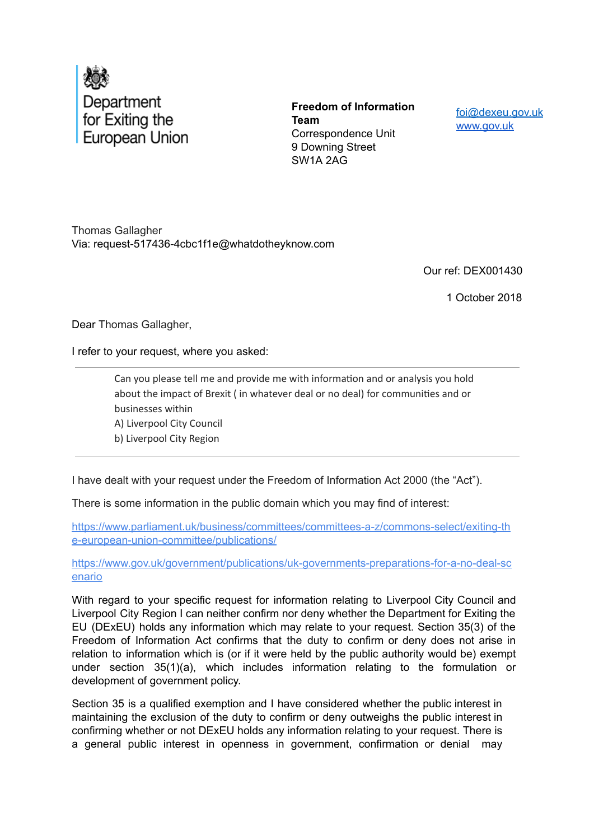

**Freedom of Information Team** Correspondence Unit 9 Downing Street SW1A 2AG

foi@dexeu.gov.uk www.gov.uk

Thomas Gallagher Via: request-517436-4cbc1f1e@whatdotheyknow.com

Our ref: DEX001430

1 October 2018

Dear Thomas Gallagher,

I refer to your request, where you asked:

Can you please tell me and provide me with information and or analysis you hold about the impact of Brexit (in whatever deal or no deal) for communities and or businesses within A) Liverpool City Council b) Liverpool City Region

I have dealt with your request under the Freedom of Information Act 2000 (the "Act").

There is some information in the public domain which you may find of interest:

https://www.parliament.uk/business/committees/committees-a-z/commons-select/exiting-th e-european-union-committee/publications/

https://www.gov.uk/government/publications/uk-governments-preparations-for-a-no-deal-sc enario

With regard to your specific request for information relating to Liverpool City Council and Liverpool City Region I can neither confirm nor deny whether the Department for Exiting the EU (DExEU) holds any information which may relate to your request. Section 35(3) of the Freedom of Information Act confirms that the duty to confirm or deny does not arise in relation to information which is (or if it were held by the public authority would be) exempt under section 35(1)(a), which includes information relating to the formulation or development of government policy.

Section 35 is a qualified exemption and I have considered whether the public interest in maintaining the exclusion of the duty to confirm or deny outweighs the public interest in confirming whether or not DExEU holds any information relating to your request. There is a general public interest in openness in government, confirmation or denial may